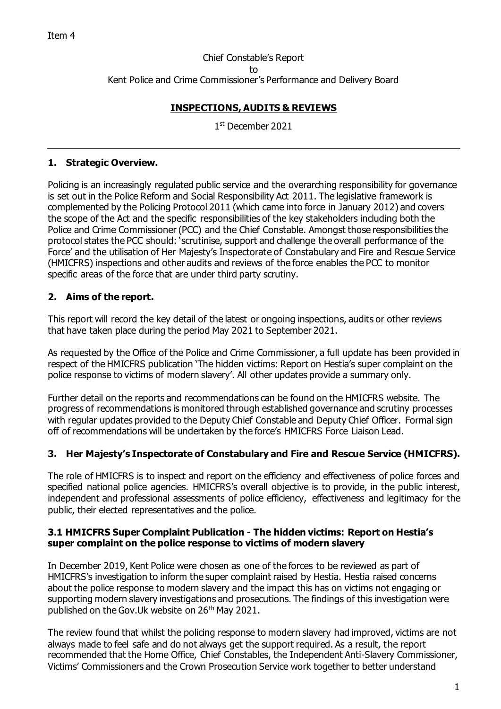Chief Constable's Report to Kent Police and Crime Commissioner's Performance and Delivery Board

### **INSPECTIONS, AUDITS & REVIEWS**

1 st December 2021

### **1. Strategic Overview.**

Policing is an increasingly regulated public service and the overarching responsibility for governance is set out in the Police Reform and Social Responsibility Act 2011. The legislative framework is complemented by the Policing Protocol 2011 (which came into force in January 2012) and covers the scope of the Act and the specific responsibilities of the key stakeholders including both the Police and Crime Commissioner (PCC) and the Chief Constable. Amongst those responsibilities the protocol states the PCC should: 'scrutinise, support and challenge the overall performance of the Force' and the utilisation of Her Majesty's Inspectorate of Constabulary and Fire and Rescue Service (HMICFRS) inspections and other audits and reviews of the force enables the PCC to monitor specific areas of the force that are under third party scrutiny.

### **2. Aims of the report.**

This report will record the key detail of the latest or ongoing inspections, audits or other reviews that have taken place during the period May 2021 to September 2021.

As requested by the Office of the Police and Crime Commissioner, a full update has been provided in respect of the HMICFRS publication 'The hidden victims: Report on Hestia's super complaint on the police response to victims of modern slavery'. All other updates provide a summary only.

Further detail on the reports and recommendations can be found on the HMICFRS website. The progress of recommendations is monitored through established governance and scrutiny processes with regular updates provided to the Deputy Chief Constable and Deputy Chief Officer. Formal sign off of recommendations will be undertaken by the force's HMICFRS Force Liaison Lead.

## **3. Her Majesty's Inspectorate of Constabulary and Fire and Rescue Service (HMICFRS).**

The role of HMICFRS is to inspect and report on the efficiency and effectiveness of police forces and specified national police agencies. HMICFRS's overall objective is to provide, in the public interest, independent and professional assessments of police efficiency, effectiveness and legitimacy for the public, their elected representatives and the police.

### **3.1 HMICFRS Super Complaint Publication - The hidden victims: Report on Hestia's super complaint on the police response to victims of modern slavery**

In December 2019, Kent Police were chosen as one of the forces to be reviewed as part of HMICFRS's investigation to inform the super complaint raised by Hestia. Hestia raised concerns about the police response to modern slavery and the impact this has on victims not engaging or supporting modern slavery investigations and prosecutions. The findings of this investigation were published on the Gov. Uk website on  $26<sup>th</sup>$  May 2021.

The review found that whilst the policing response to modern slavery had improved, victims are not always made to feel safe and do not always get the support required. As a result, the report recommended that the Home Office, Chief Constables, the Independent Anti-Slavery Commissioner, Victims' Commissioners and the Crown Prosecution Service work together to better understand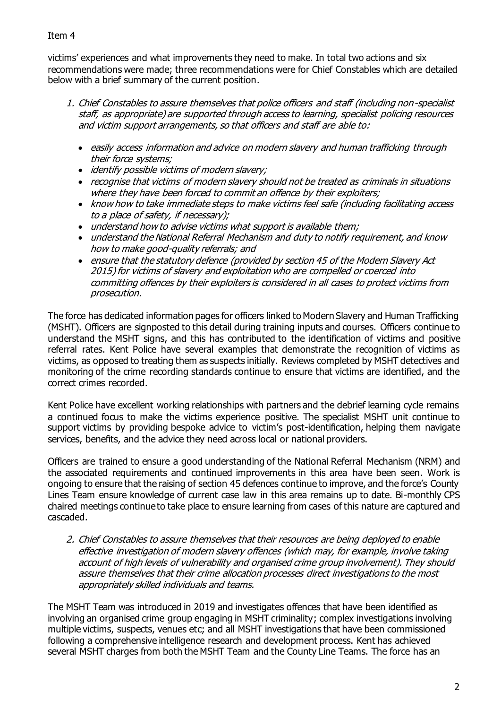### Item 4

victims' experiences and what improvements they need to make. In total two actions and six recommendations were made; three recommendations were for Chief Constables which are detailed below with a brief summary of the current position.

- 1. Chief Constables to assure themselves that police officers and staff (including non-specialist staff, as appropriate) are supported through access to learning, specialist policing resources and victim support arrangements, so that officers and staff are able to:
	- easily access information and advice on modern slavery and human trafficking through their force systems;
	- identify possible victims of modern slavery;
	- recognise that victims of modern slavery should not be treated as criminals in situations where they have been forced to commit an offence by their exploiters;
	- know how to take immediate steps to make victims feel safe (including facilitating access to a place of safety, if necessary);
	- understand how to advise victims what support is available them;
	- understand the National Referral Mechanism and duty to notify requirement, and know how to make good-quality referrals; and
	- ensure that the statutory defence (provided by section 45 of the Modern Slavery Act 2015) for victims of slavery and exploitation who are compelled or coerced into committing offences by their exploiters is considered in all cases to protect victims from prosecution.

The force has dedicated information pages for officers linked to Modern Slavery and Human Trafficking (MSHT). Officers are signposted to this detail during training inputs and courses. Officers continue to understand the MSHT signs, and this has contributed to the identification of victims and positive referral rates. Kent Police have several examples that demonstrate the recognition of victims as victims, as opposed to treating them as suspects initially. Reviews completed by MSHT detectives and monitoring of the crime recording standards continue to ensure that victims are identified, and the correct crimes recorded.

Kent Police have excellent working relationships with partners and the debrief learning cycle remains a continued focus to make the victims experience positive. The specialist MSHT unit continue to support victims by providing bespoke advice to victim's post-identification, helping them navigate services, benefits, and the advice they need across local or national providers.

Officers are trained to ensure a good understanding of the National Referral Mechanism (NRM) and the associated requirements and continued improvements in this area have been seen. Work is ongoing to ensure that the raising of section 45 defences continue to improve, and the force's County Lines Team ensure knowledge of current case law in this area remains up to date. Bi-monthly CPS chaired meetings continue to take place to ensure learning from cases of this nature are captured and cascaded.

2. Chief Constables to assure themselves that their resources are being deployed to enable effective investigation of modern slavery offences (which may, for example, involve taking account of high levels of vulnerability and organised crime group involvement). They should assure themselves that their crime allocation processes direct investigations to the most appropriately skilled individuals and teams.

The MSHT Team was introduced in 2019 and investigates offences that have been identified as involving an organised crime group engaging in MSHT criminality; complex investigations involving multiple victims, suspects, venues etc; and all MSHT investigations that have been commissioned following a comprehensive intelligence research and development process. Kent has achieved several MSHT charges from both the MSHT Team and the County Line Teams. The force has an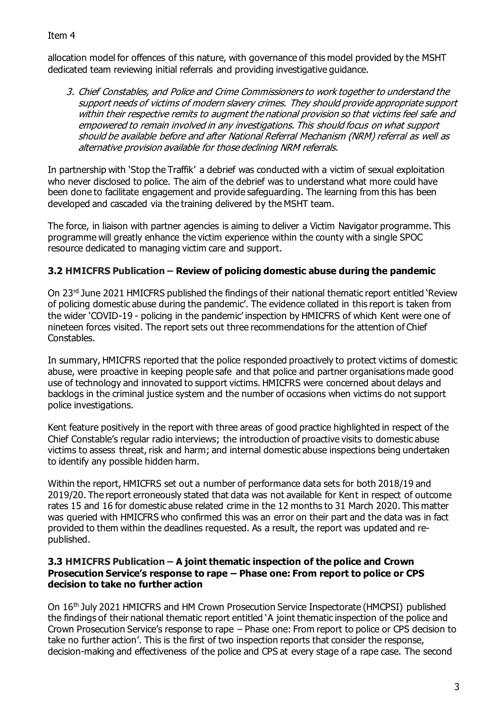allocation model for offences of this nature, with governance of this model provided by the MSHT dedicated team reviewing initial referrals and providing investigative guidance.

3. Chief Constables, and Police and Crime Commissioners to work together to understand the support needs of victims of modern slavery crimes. They should provide appropriate support within their respective remits to augment the national provision so that victims feel safe and empowered to remain involved in any investigations. This should focus on what support should be available before and after National Referral Mechanism (NRM) referral as well as alternative provision available for those declining NRM referrals.

In partnership with 'Stop the Traffik' a debrief was conducted with a victim of sexual exploitation who never disclosed to police. The aim of the debrief was to understand what more could have been done to facilitate engagement and provide safeguarding. The learning from this has been developed and cascaded via the training delivered by the MSHT team.

The force, in liaison with partner agencies is aiming to deliver a Victim Navigator programme. This programme will greatly enhance the victim experience within the county with a single SPOC resource dedicated to managing victim care and support.

# **3.2 HMICFRS Publication – Review of policing domestic abuse during the pandemic**

On 23rd June 2021 HMICFRS published the findings of their national thematic report entitled 'Review of policing domestic abuse during the pandemic'. The evidence collated in this report is taken from the wider 'COVID-19 - policing in the pandemic' inspection by HMICFRS of which Kent were one of nineteen forces visited. The report sets out three recommendations for the attention of Chief Constables.

In summary, HMICFRS reported that the police responded proactively to protect victims of domestic abuse, were proactive in keeping people safe and that police and partner organisations made good use of technology and innovated to support victims. HMICFRS were concerned about delays and backlogs in the criminal justice system and the number of occasions when victims do not support police investigations.

Kent feature positively in the report with three areas of good practice highlighted in respect of the Chief Constable's regular radio interviews; the introduction of proactive visits to domestic abuse victims to assess threat, risk and harm; and internal domestic abuse inspections being undertaken to identify any possible hidden harm.

Within the report, HMICFRS set out a number of performance data sets for both 2018/19 and 2019/20. The report erroneously stated that data was not available for Kent in respect of outcome rates 15 and 16 for domestic abuse related crime in the 12 months to 31 March 2020. This matter was queried with HMICFRS who confirmed this was an error on their part and the data was in fact provided to them within the deadlines requested. As a result, the report was updated and republished.

### **3.3 HMICFRS Publication – A joint thematic inspection of the police and Crown Prosecution Service's response to rape – Phase one: From report to police or CPS decision to take no further action**

On 16th July 2021 HMICFRS and HM Crown Prosecution Service Inspectorate (HMCPSI) published the findings of their national thematic report entitled 'A joint thematic inspection of the police and Crown Prosecution Service's response to rape – Phase one: From report to police or CPS decision to take no further action'. This is the first of two inspection reports that consider the response, decision-making and effectiveness of the police and CPS at every stage of a rape case. The second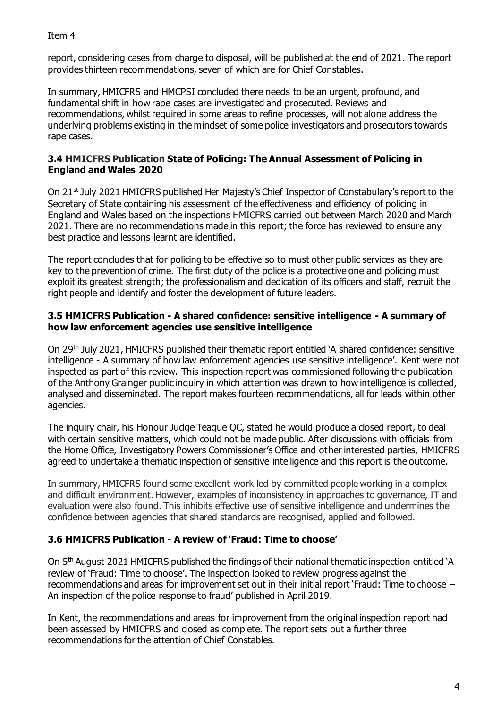report, considering cases from charge to disposal, will be published at the end of 2021. The report provides thirteen recommendations, seven of which are for Chief Constables.

In summary, HMICFRS and HMCPSI concluded there needs to be an urgent, profound, and fundamental shift in how rape cases are investigated and prosecuted. Reviews and recommendations, whilst required in some areas to refine processes, will not alone address the underlying problems existing in the mindset of some police investigators and prosecutors towards rape cases.

### **3.4 HMICFRS Publication State of Policing: The Annual Assessment of Policing in England and Wales 2020**

On 21st July 2021 HMICFRS published Her Majesty's Chief Inspector of Constabulary's report to the Secretary of State containing his assessment of the effectiveness and efficiency of policing in England and Wales based on the inspections HMICFRS carried out between March 2020 and March 2021. There are no recommendations made in this report; the force has reviewed to ensure any best practice and lessons learnt are identified.

The report concludes that for policing to be effective so to must other public services as they are key to the prevention of crime. The first duty of the police is a protective one and policing must exploit its greatest strength; the professionalism and dedication of its officers and staff, recruit the right people and identify and foster the development of future leaders.

### **3.5 HMICFRS Publication - A shared confidence: sensitive intelligence - A summary of how law enforcement agencies use sensitive intelligence**

On 29th July 2021, HMICFRS published their thematic report entitled 'A shared confidence: sensitive intelligence - A summary of how law enforcement agencies use sensitive intelligence'. Kent were not inspected as part of this review. This inspection report was commissioned following the publication of the Anthony Grainger public inquiry in which attention was drawn to how intelligence is collected, analysed and disseminated. The report makes fourteen recommendations, all for leads within other agencies.

The inquiry chair, his Honour Judge Teague QC, stated he would produce a closed report, to deal with certain sensitive matters, which could not be made public. After discussions with officials from the Home Office, Investigatory Powers Commissioner's Office and other interested parties, HMICFRS agreed to undertake a thematic inspection of sensitive intelligence and this report is the outcome.

In summary, HMICFRS found some excellent work led by committed people working in a complex and difficult environment. However, examples of inconsistency in approaches to governance, IT and evaluation were also found. This inhibits effective use of sensitive intelligence and undermines the confidence between agencies that shared standards are recognised, applied and followed.

# **3.6 HMICFRS Publication - A review of 'Fraud: Time to choose'**

On 5th August 2021 HMICFRS published the findings of their national thematic inspection entitled 'A review of 'Fraud: Time to choose'. The inspection looked to review progress against the recommendations and areas for improvement set out in their initial report 'Fraud: Time to choose – An inspection of the police response to fraud' published in April 2019.

In Kent, the recommendations and areas for improvement from the original inspection report had been assessed by HMICFRS and closed as complete. The report sets out a further three recommendations for the attention of Chief Constables.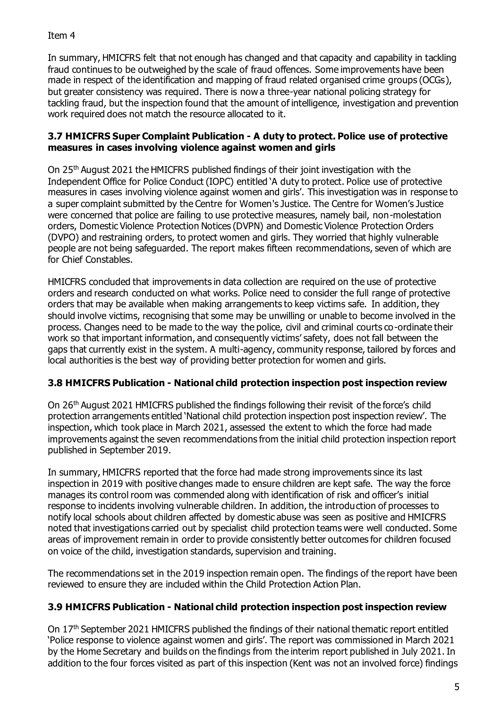### Item 4

In summary, HMICFRS felt that not enough has changed and that capacity and capability in tackling fraud continues to be outweighed by the scale of fraud offences. Some improvements have been made in respect of the identification and mapping of fraud related organised crime groups (OCGs), but greater consistency was required. There is now a three-year national policing strategy for tackling fraud, but the inspection found that the amount of intelligence, investigation and prevention work required does not match the resource allocated to it.

### **3.7 HMICFRS Super Complaint Publication - A duty to protect. Police use of protective measures in cases involving violence against women and girls**

On 25th August 2021 the HMICFRS published findings of their joint investigation with the Independent Office for Police Conduct (IOPC) entitled 'A duty to protect. Police use of protective measures in cases involving violence against women and girls'. This investigation was in response to a super complaint submitted by the Centre for Women's Justice. The Centre for Women's Justice were concerned that police are failing to use protective measures, namely bail, non-molestation orders, Domestic Violence Protection Notices (DVPN) and Domestic Violence Protection Orders (DVPO) and restraining orders, to protect women and girls. They worried that highly vulnerable people are not being safeguarded. The report makes fifteen recommendations, seven of which are for Chief Constables.

HMICFRS concluded that improvements in data collection are required on the use of protective orders and research conducted on what works. Police need to consider the full range of protective orders that may be available when making arrangements to keep victims safe. In addition, they should involve victims, recognising that some may be unwilling or unable to become involved in the process. Changes need to be made to the way the police, civil and criminal courts co-ordinate their work so that important information, and consequently victims' safety, does not fall between the gaps that currently exist in the system. A multi-agency, community response, tailored by forces and local authorities is the best way of providing better protection for women and girls.

## **3.8 HMICFRS Publication - National child protection inspection post inspection review**

On 26th August 2021 HMICFRS published the findings following their revisit of the force's child protection arrangements entitled 'National child protection inspection post inspection review'. The inspection, which took place in March 2021, assessed the extent to which the force had made improvements against the seven recommendations from the initial child protection inspection report published in September 2019.

In summary, HMICFRS reported that the force had made strong improvements since its last inspection in 2019 with positive changes made to ensure children are kept safe. The way the force manages its control room was commended along with identification of risk and officer's initial response to incidents involving vulnerable children. In addition, the introduction of processes to notify local schools about children affected by domestic abuse was seen as positive and HMICFRS noted that investigations carried out by specialist child protection teams were well conducted. Some areas of improvement remain in order to provide consistently better outcomes for children focused on voice of the child, investigation standards, supervision and training.

The recommendations set in the 2019 inspection remain open. The findings of the report have been reviewed to ensure they are included within the Child Protection Action Plan.

## **3.9 HMICFRS Publication - National child protection inspection post inspection review**

On 17<sup>th</sup> September 2021 HMICFRS published the findings of their national thematic report entitled 'Police response to violence against women and girls'. The report was commissioned in March 2021 by the Home Secretary and builds on the findings from the interim report published in July 2021. In addition to the four forces visited as part of this inspection (Kent was not an involved force) findings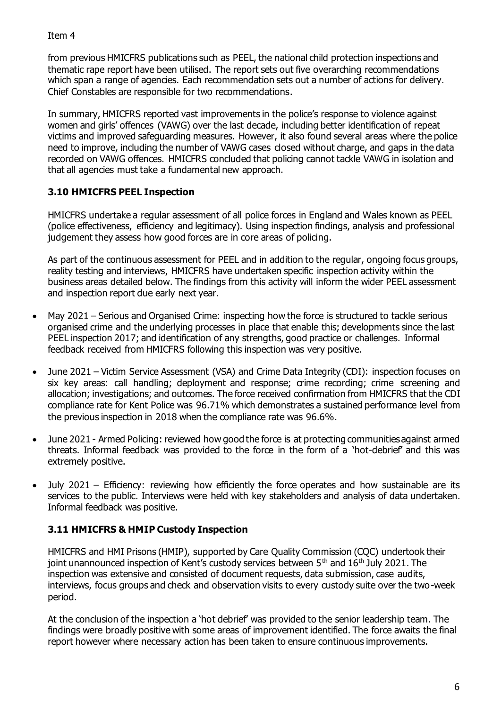Item 4

from previous HMICFRS publications such as PEEL, the national child protection inspections and thematic rape report have been utilised. The report sets out five overarching recommendations which span a range of agencies. Each recommendation sets out a number of actions for delivery. Chief Constables are responsible for two recommendations.

In summary, HMICFRS reported vast improvements in the police's response to violence against women and girls' offences (VAWG) over the last decade, including better identification of repeat victims and improved safeguarding measures. However, it also found several areas where the police need to improve, including the number of VAWG cases closed without charge, and gaps in the data recorded on VAWG offences. HMICFRS concluded that policing cannot tackle VAWG in isolation and that all agencies must take a fundamental new approach.

# **3.10 HMICFRS PEEL Inspection**

HMICFRS undertake a regular assessment of all police forces in England and Wales known as PEEL (police effectiveness, efficiency and legitimacy). Using inspection findings, analysis and professional judgement they assess how good forces are in core areas of policing.

As part of the continuous assessment for PEEL and in addition to the regular, ongoing focus groups, reality testing and interviews, HMICFRS have undertaken specific inspection activity within the business areas detailed below. The findings from this activity will inform the wider PEEL assessment and inspection report due early next year.

- May 2021 Serious and Organised Crime: inspecting how the force is structured to tackle serious organised crime and the underlying processes in place that enable this; developments since the last PEEL inspection 2017; and identification of any strengths, good practice or challenges. Informal feedback received from HMICFRS following this inspection was very positive.
- June 2021 Victim Service Assessment (VSA) and Crime Data Integrity (CDI): inspection focuses on six key areas: call handling; deployment and response; crime recording; crime screening and allocation; investigations; and outcomes. The force received confirmation from HMICFRS that the CDI compliance rate for Kent Police was 96.71% which demonstrates a sustained performance level from the previous inspection in 2018 when the compliance rate was 96.6%.
- June 2021 Armed Policing: reviewed how good the force is at protecting communities against armed threats. Informal feedback was provided to the force in the form of a 'hot-debrief' and this was extremely positive.
- July 2021 Efficiency: reviewing how efficiently the force operates and how sustainable are its services to the public. Interviews were held with key stakeholders and analysis of data undertaken. Informal feedback was positive.

## **3.11 HMICFRS & HMIP Custody Inspection**

HMICFRS and HMI Prisons (HMIP), supported by Care Quality Commission (CQC) undertook their joint unannounced inspection of Kent's custody services between  $5<sup>th</sup>$  and  $16<sup>th</sup>$  July 2021. The inspection was extensive and consisted of document requests, data submission, case audits, interviews, focus groups and check and observation visits to every custody suite over the two-week period.

At the conclusion of the inspection a 'hot debrief' was provided to the senior leadership team. The findings were broadly positive with some areas of improvement identified. The force awaits the final report however where necessary action has been taken to ensure continuous improvements.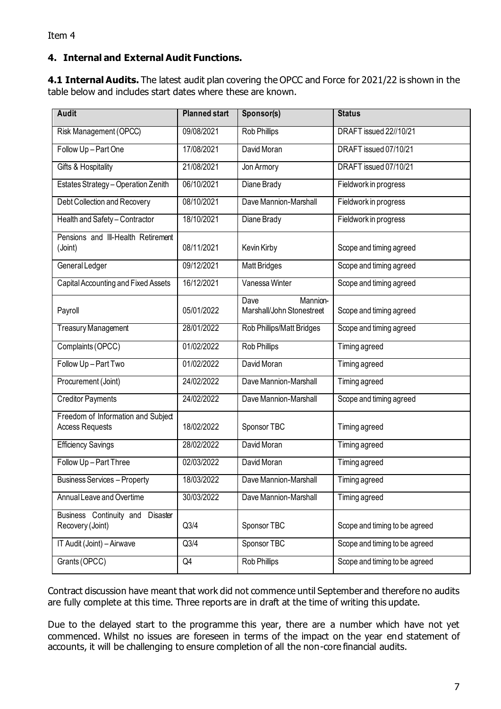# **4. Internal and External Audit Functions.**

**4.1 Internal Audits.** The latest audit plan covering the OPCC and Force for 2021/22 is shown in the table below and includes start dates where these are known.

| <b>Audit</b>                                                 | <b>Planned start</b> | Sponsor(s)                                    | <b>Status</b>                 |
|--------------------------------------------------------------|----------------------|-----------------------------------------------|-------------------------------|
| Risk Management (OPCC)                                       | 09/08/2021           | <b>Rob Phillips</b>                           | DRAFT issued 22//10/21        |
| Follow Up-Part One                                           | 17/08/2021           | David Moran                                   | DRAFT issued 07/10/21         |
| Gifts & Hospitality                                          | 21/08/2021           | Jon Armory                                    | DRAFT issued 07/10/21         |
| Estates Strategy - Operation Zenith                          | 06/10/2021           | Diane Brady                                   | Fieldwork in progress         |
| Debt Collection and Recovery                                 | 08/10/2021           | Dave Mannion-Marshall                         | Fieldwork in progress         |
| Health and Safety-Contractor                                 | 18/10/2021           | Diane Brady                                   | Fieldwork in progress         |
| Pensions and III-Health Retirement<br>(Joint)                | 08/11/2021           | Kevin Kirby                                   | Scope and timing agreed       |
| General Ledger                                               | 09/12/2021           | <b>Matt Bridges</b>                           | Scope and timing agreed       |
| Capital Accounting and Fixed Assets                          | 16/12/2021           | Vanessa Winter                                | Scope and timing agreed       |
| Payroll                                                      | 05/01/2022           | Mannion-<br>Dave<br>Marshall/John Stonestreet | Scope and timing agreed       |
| <b>Treasury Management</b>                                   | 28/01/2022           | Rob Phillips/Matt Bridges                     | Scope and timing agreed       |
| Complaints (OPCC)                                            | 01/02/2022           | Rob Phillips                                  | Timing agreed                 |
| Follow Up-Part Two                                           | 01/02/2022           | David Moran                                   | Timing agreed                 |
| Procurement (Joint)                                          | 24/02/2022           | Dave Mannion-Marshall                         | Timing agreed                 |
| <b>Creditor Payments</b>                                     | 24/02/2022           | Dave Mannion-Marshall                         | Scope and timing agreed       |
| Freedom of Information and Subject<br><b>Access Requests</b> | 18/02/2022           | Sponsor TBC                                   | Timing agreed                 |
| <b>Efficiency Savings</b>                                    | 28/02/2022           | David Moran                                   | Timing agreed                 |
| Follow Up-Part Three                                         | 02/03/2022           | David Moran                                   | Timing agreed                 |
| <b>Business Services - Property</b>                          | 18/03/2022           | Dave Mannion-Marshall                         | Timing agreed                 |
| Annual Leave and Overtime                                    | 30/03/2022           | Dave Mannion-Marshall                         | Timing agreed                 |
| Business Continuity and Disaster<br>Recovery (Joint)         | Q3/4                 | Sponsor TBC                                   | Scope and timing to be agreed |
| IT Audit (Joint) - Airwave                                   | Q3/4                 | Sponsor TBC                                   | Scope and timing to be agreed |
| Grants (OPCC)                                                | Q4                   | Rob Phillips                                  | Scope and timing to be agreed |

Contract discussion have meant that work did not commence until September and therefore no audits are fully complete at this time. Three reports are in draft at the time of writing this update.

Due to the delayed start to the programme this year, there are a number which have not yet commenced. Whilst no issues are foreseen in terms of the impact on the year end statement of accounts, it will be challenging to ensure completion of all the non-core financial audits.